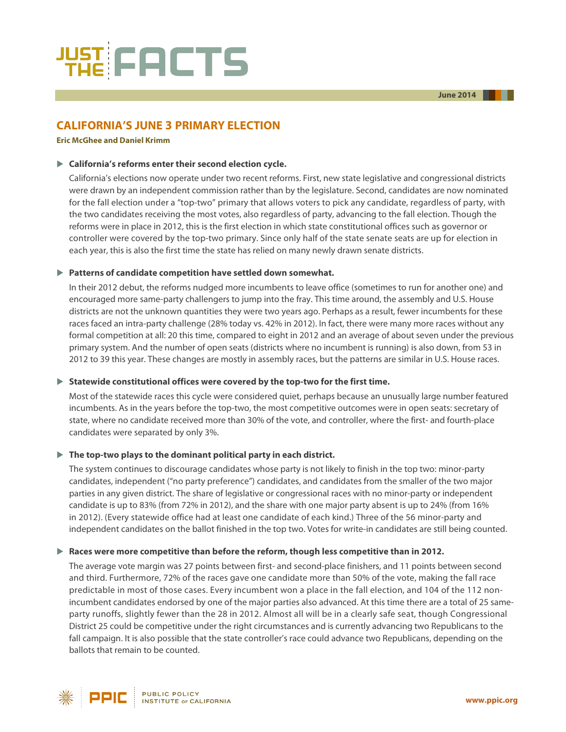

# **CALIFORNIA'S JUNE 3 PRIMARY ELECTION**

#### **[Eric McGhee](http://www.ppic.org/main/bio.asp?i=378) an[d Daniel Krimm](http://www.ppic.org/main/bio.asp?i=389)**

### **California's reforms enter their second election cycle.**

California's elections now operate under two recent reforms. First, new state legislative and congressional districts were drawn by an independent commission rather than by the legislature. Second, candidates are now nominated for the fall election under a "top-two" primary that allows voters to pick any candidate, regardless of party, with the two candidates receiving the most votes, also regardless of party, advancing to the fall election. Though the reforms were in place in 2012, this is the first election in which state constitutional offices such as governor or controller were covered by the top-two primary. Since only half of the state senate seats are up for election in each year, this is also the first time the state has relied on many newly drawn senate districts.

#### **Patterns of candidate competition have settled down somewhat.**

In their 2012 debut, the reforms nudged more incumbents to leave office (sometimes to run for another one) and encouraged more same-party challengers to jump into the fray. This time around, the assembly and U.S. House districts are not the unknown quantities they were two years ago. Perhaps as a result, fewer incumbents for these races faced an intra-party challenge (28% today vs. 42% in 2012). In fact, there were many more races without any formal competition at all: 20 this time, compared to eight in 2012 and an average of about seven under the previous primary system. And the number of open seats (districts where no incumbent is running) is also down, from 53 in 2012 to 39 this year. These changes are mostly in assembly races, but the patterns are similar in U.S. House races.

#### **Statewide constitutional offices were covered by the top-two for the first time.**

Most of the statewide races this cycle were considered quiet, perhaps because an unusually large number featured incumbents. As in the years before the top-two, the most competitive outcomes were in open seats: secretary of state, where no candidate received more than 30% of the vote, and controller, where the first- and fourth-place candidates were separated by only 3%.

## **The top-two plays to the dominant political party in each district.**

The system continues to discourage candidates whose party is not likely to finish in the top two: minor-party candidates, independent ("no party preference") candidates, and candidates from the smaller of the two major parties in any given district. The share of legislative or congressional races with no minor-party or independent candidate is up to 83% (from 72% in 2012), and the share with one major party absent is up to 24% (from 16% in 2012). (Every statewide office had at least one candidate of each kind.) Three of the 56 minor-party and independent candidates on the ballot finished in the top two. Votes for write-in candidates are still being counted.

## **Races were more competitive than before the reform, though less competitive than in 2012.**

The average vote margin was 27 points between first- and second-place finishers, and 11 points between second and third. Furthermore, 72% of the races gave one candidate more than 50% of the vote, making the fall race predictable in most of those cases. Every incumbent won a place in the fall election, and 104 of the 112 nonincumbent candidates endorsed by one of the major parties also advanced. At this time there are a total of 25 sameparty runoffs, slightly fewer than the 28 in 2012. Almost all will be in a clearly safe seat, though Congressional District 25 could be competitive under the right circumstances and is currently advancing two Republicans to the fall campaign. It is also possible that the state controller's race could advance two Republicans, depending on the ballots that remain to be counted.